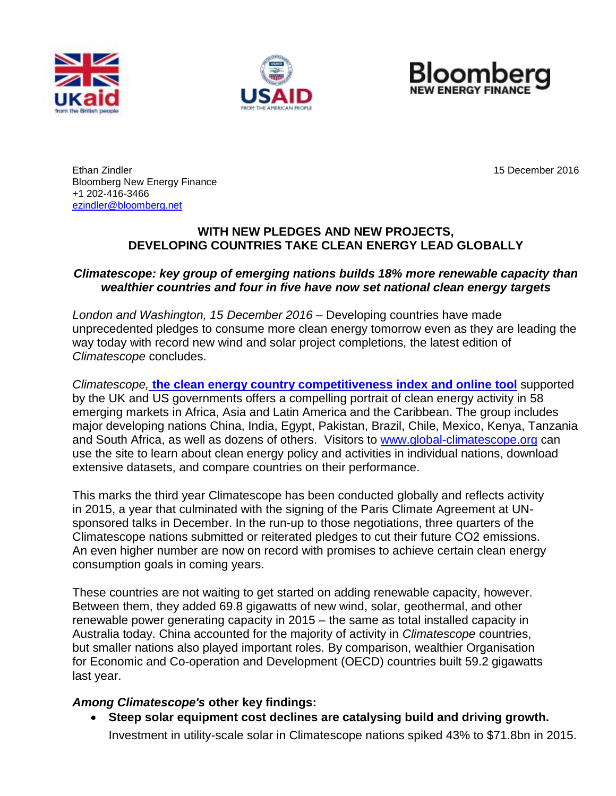





Ethan Zindler 15 December 2016 Bloomberg New Energy Finance +1 202-416-3466 [ezindler@bloomberg.net](mailto:ezindler@bloomberg.net) 

### **WITH NEW PLEDGES AND NEW PROJECTS, DEVELOPING COUNTRIES TAKE CLEAN ENERGY LEAD GLOBALLY**

### *Climatescope: key group of emerging nations builds 18% more renewable capacity than wealthier countries and four in five have now set national clean energy targets*

*London and Washington, 15 December 2016* – Developing countries have made unprecedented pledges to consume more clean energy tomorrow even as they are leading the way today with record new wind and solar project completions, the latest edition of *Climatescope* concludes.

*Climatescope,* **[the clean energy country competitiveness index](http://global-climatescope.org/) and online tool** supported by the UK and US governments offers a compelling portrait of clean energy activity in 58 emerging markets in Africa, Asia and Latin America and the Caribbean. The group includes major developing nations China, India, Egypt, Pakistan, Brazil, Chile, Mexico, Kenya, Tanzania and South Africa, as well as dozens of others. Visitors to [www.global-climatescope.org](http://www.global-climatescope.org/) can use the site to learn about clean energy policy and activities in individual nations, download extensive datasets, and compare countries on their performance.

This marks the third year Climatescope has been conducted globally and reflects activity in 2015, a year that culminated with the signing of the Paris Climate Agreement at UNsponsored talks in December. In the run-up to those negotiations, three quarters of the Climatescope nations submitted or reiterated pledges to cut their future CO2 emissions. An even higher number are now on record with promises to achieve certain clean energy consumption goals in coming years.

These countries are not waiting to get started on adding renewable capacity, however. Between them, they added 69.8 gigawatts of new wind, solar, geothermal, and other renewable power generating capacity in 2015 – the same as total installed capacity in Australia today. China accounted for the majority of activity in *Climatescope* countries, but smaller nations also played important roles. By comparison, wealthier Organisation for Economic and Co-operation and Development (OECD) countries built 59.2 gigawatts last year.

### *Among Climatescope's* **other key findings:**

 **Steep solar equipment cost declines are catalysing build and driving growth.**  Investment in utility-scale solar in Climatescope nations spiked 43% to \$71.8bn in 2015.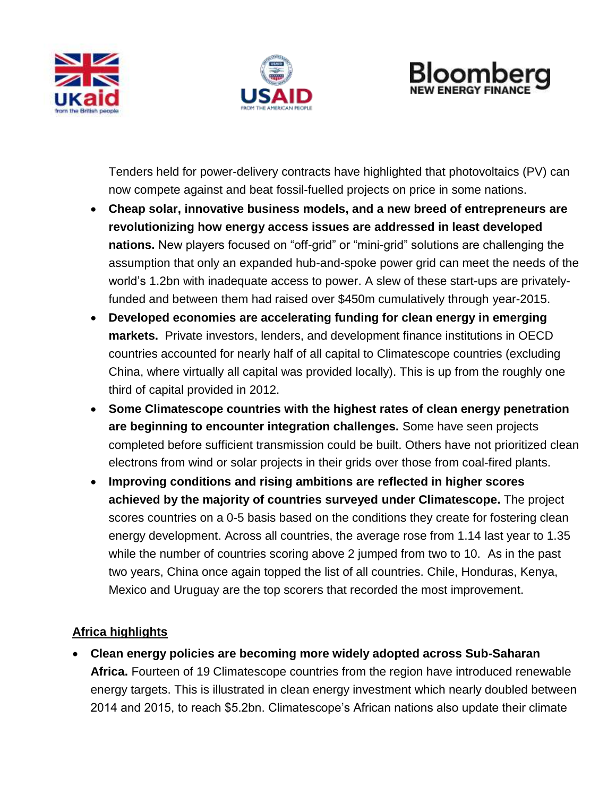





Tenders held for power-delivery contracts have highlighted that photovoltaics (PV) can now compete against and beat fossil-fuelled projects on price in some nations.

- **Cheap solar, innovative business models, and a new breed of entrepreneurs are revolutionizing how energy access issues are addressed in least developed nations.** New players focused on "off-grid" or "mini-grid" solutions are challenging the assumption that only an expanded hub-and-spoke power grid can meet the needs of the world's 1.2bn with inadequate access to power. A slew of these start-ups are privatelyfunded and between them had raised over \$450m cumulatively through year-2015.
- **Developed economies are accelerating funding for clean energy in emerging markets.** Private investors, lenders, and development finance institutions in OECD countries accounted for nearly half of all capital to Climatescope countries (excluding China, where virtually all capital was provided locally). This is up from the roughly one third of capital provided in 2012.
- **Some Climatescope countries with the highest rates of clean energy penetration are beginning to encounter integration challenges.** Some have seen projects completed before sufficient transmission could be built. Others have not prioritized clean electrons from wind or solar projects in their grids over those from coal-fired plants.
- **Improving conditions and rising ambitions are reflected in higher scores achieved by the majority of countries surveyed under Climatescope.** The project scores countries on a 0-5 basis based on the conditions they create for fostering clean energy development. Across all countries, the average rose from 1.14 last year to 1.35 while the number of countries scoring above 2 jumped from two to 10. As in the past two years, China once again topped the list of all countries. Chile, Honduras, Kenya, Mexico and Uruguay are the top scorers that recorded the most improvement.

# **Africa highlights**

 **Clean energy policies are becoming more widely adopted across Sub-Saharan Africa.** Fourteen of 19 Climatescope countries from the region have introduced renewable energy targets. This is illustrated in clean energy investment which nearly doubled between 2014 and 2015, to reach \$5.2bn. Climatescope's African nations also update their climate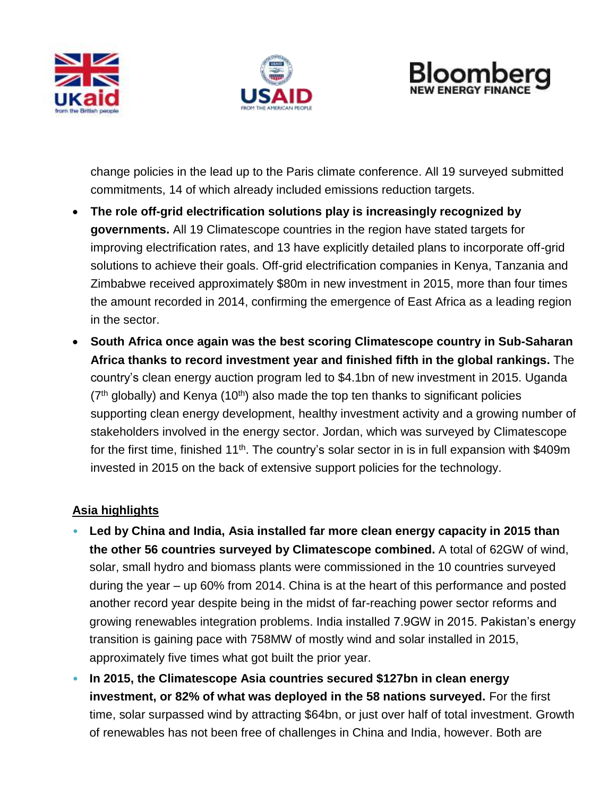





change policies in the lead up to the Paris climate conference. All 19 surveyed submitted commitments, 14 of which already included emissions reduction targets.

- **The role off-grid electrification solutions play is increasingly recognized by governments.** All 19 Climatescope countries in the region have stated targets for improving electrification rates, and 13 have explicitly detailed plans to incorporate off-grid solutions to achieve their goals. Off-grid electrification companies in Kenya, Tanzania and Zimbabwe received approximately \$80m in new investment in 2015, more than four times the amount recorded in 2014, confirming the emergence of East Africa as a leading region in the sector.
- **South Africa once again was the best scoring Climatescope country in Sub-Saharan Africa thanks to record investment year and finished fifth in the global rankings.** The country's clean energy auction program led to \$4.1bn of new investment in 2015. Uganda  $(7<sup>th</sup>$  globally) and Kenya  $(10<sup>th</sup>)$  also made the top ten thanks to significant policies supporting clean energy development, healthy investment activity and a growing number of stakeholders involved in the energy sector. Jordan, which was surveyed by Climatescope for the first time, finished 11<sup>th</sup>. The country's solar sector in is in full expansion with \$409m invested in 2015 on the back of extensive support policies for the technology.

# **Asia highlights**

- **Led by China and India, Asia installed far more clean energy capacity in 2015 than the other 56 countries surveyed by Climatescope combined.** A total of 62GW of wind, solar, small hydro and biomass plants were commissioned in the 10 countries surveyed during the year – up 60% from 2014. China is at the heart of this performance and posted another record year despite being in the midst of far-reaching power sector reforms and growing renewables integration problems. India installed 7.9GW in 2015. Pakistan's energy transition is gaining pace with 758MW of mostly wind and solar installed in 2015, approximately five times what got built the prior year.
- **In 2015, the Climatescope Asia countries secured \$127bn in clean energy investment, or 82% of what was deployed in the 58 nations surveyed.** For the first time, solar surpassed wind by attracting \$64bn, or just over half of total investment. Growth of renewables has not been free of challenges in China and India, however. Both are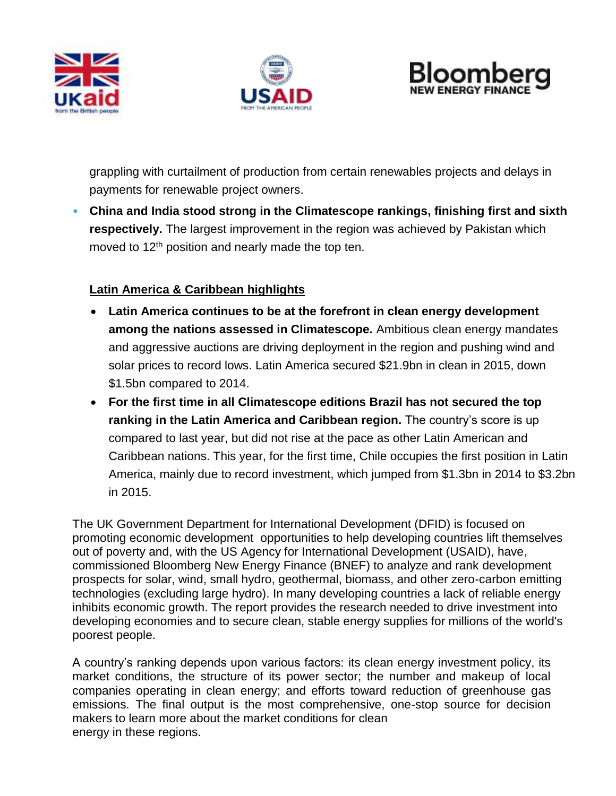





grappling with curtailment of production from certain renewables projects and delays in payments for renewable project owners.

• **China and India stood strong in the Climatescope rankings, finishing first and sixth respectively.** The largest improvement in the region was achieved by Pakistan which moved to 12<sup>th</sup> position and nearly made the top ten.

# **Latin America & Caribbean highlights**

- **Latin America continues to be at the forefront in clean energy development among the nations assessed in Climatescope.** Ambitious clean energy mandates and aggressive auctions are driving deployment in the region and pushing wind and solar prices to record lows. Latin America secured \$21.9bn in clean in 2015, down \$1.5bn compared to 2014.
- **For the first time in all Climatescope editions Brazil has not secured the top ranking in the Latin America and Caribbean region.** The country's score is up compared to last year, but did not rise at the pace as other Latin American and Caribbean nations. This year, for the first time, Chile occupies the first position in Latin America, mainly due to record investment, which jumped from \$1.3bn in 2014 to \$3.2bn in 2015.

The UK Government Department for International Development (DFID) is focused on promoting economic development opportunities to help developing countries lift themselves out of poverty and, with the US Agency for International Development (USAID), have, commissioned Bloomberg New Energy Finance (BNEF) to analyze and rank development prospects for solar, wind, small hydro, geothermal, biomass, and other zero-carbon emitting technologies (excluding large hydro). In many developing countries a lack of reliable energy inhibits economic growth. The report provides the research needed to drive investment into developing economies and to secure clean, stable energy supplies for millions of the world's poorest people.

A country's ranking depends upon various factors: its clean energy investment policy, its market conditions, the structure of its power sector; the number and makeup of local companies operating in clean energy; and efforts toward reduction of greenhouse gas emissions. The final output is the most comprehensive, one-stop source for decision makers to learn more about the market conditions for clean energy in these regions.